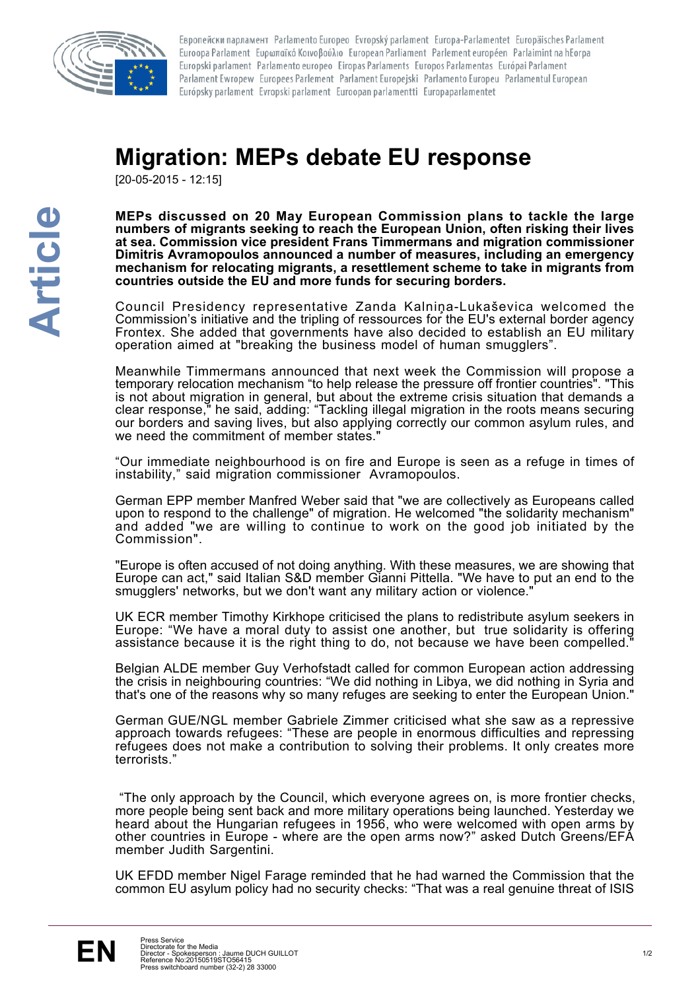

Европейски парламент Parlamento Europeo Evropský parlament Europa-Parlamentet Europäisches Parlament Euroopa Parlament Ευρωπαϊκό Κοινοβούλιο European Parliament Parlement européen Parlaimint na hEorpa Europski parlament Parlamento europeo Eiropas Parlaments Europos Parlamentas Európai Parlament Parlament Ewropew Europees Parlement Parlament Europejski Parlamento Europeu Parlamentul European Európsky parlament Evropski parlament Euroopan parlamentti Europaparlamentet

## **Migration: MEPs debate EU response**

[20-05-2015 - 12:15]

**MEPs discussed on 20 May European Commission plans to tackle the large numbers of migrants seeking to reach the European Union, often risking their lives at sea. Commission vice president Frans Timmermans and migration commissioner Dimitris Avramopoulos announced a number of measures, including an emergency mechanism for relocating migrants, a resettlement scheme to take in migrants from countries outside the EU and more funds for securing borders.** 

Council Presidency representative Zanda Kalniņa-Lukaševica welcomed the Commission's initiative and the tripling of ressources for the EU's external border agency Frontex. She added that governments have also decided to establish an EU military operation aimed at "breaking the business model of human smugglers".

Meanwhile Timmermans announced that next week the Commission will propose a temporary relocation mechanism "to help release the pressure off frontier countries". "This is not about migration in general, but about the extreme crisis situation that demands a clear response," he said, adding: "Tackling illegal migration in the roots means securing our borders and saving lives, but also applying correctly our common asylum rules, and we need the commitment of member states."

"Our immediate neighbourhood is on fire and Europe is seen as a refuge in times of instability," said migration commissioner Avramopoulos.

German EPP member Manfred Weber said that "we are collectively as Europeans called upon to respond to the challenge" of migration. He welcomed "the solidarity mechanism" and added "we are willing to continue to work on the good job initiated by the Commission".

"Europe is often accused of not doing anything. With these measures, we are showing that Europe can act," said Italian S&D member Gianni Pittella. "We have to put an end to the smugglers' networks, but we don't want any military action or violence."

UK ECR member Timothy Kirkhope criticised the plans to redistribute asylum seekers in Europe: "We have a moral duty to assist one another, but true solidarity is offering assistance because it is the right thing to do, not because we have been compelled."

Belgian ALDE member Guy Verhofstadt called for common European action addressing the crisis in neighbouring countries: "We did nothing in Libya, we did nothing in Syria and that's one of the reasons why so many refuges are seeking to enter the European Union."

German GUE/NGL member Gabriele Zimmer criticised what she saw as a repressive approach towards refugees: "These are people in enormous difficulties and repressing refugees does not make a contribution to solving their problems. It only creates more terrorists."

 "The only approach by the Council, which everyone agrees on, is more frontier checks, more people being sent back and more military operations being launched. Yesterday we heard about the Hungarian refugees in 1956, who were welcomed with open arms by other countries in Europe - where are the open arms now?" asked Dutch Greens/EFA member Judith Sargentini.

UK EFDD member Nigel Farage reminded that he had warned the Commission that the common EU asylum policy had no security checks: "That was a real genuine threat of ISIS